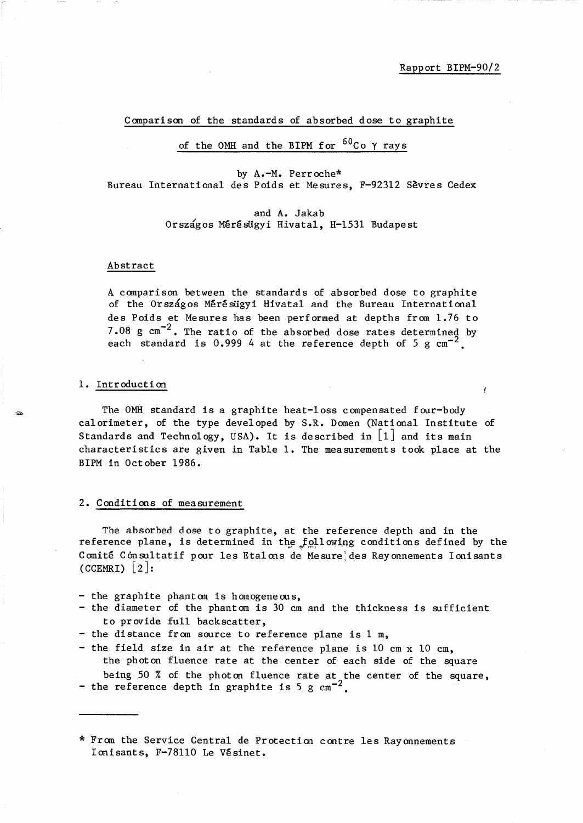¥

#### Comparison of the standards of absorbed dose to graphite

# of the OMH and the BIPM for  ${}^{60}$ Co  $\gamma$  rays

by A.-M. Perroche\* Bureau International des Poids et Mesures, F-92312 Sevres Cedex

> and A. Jakab Országos Mérésügyi Hivatal, H-1531 Budapest

## Abstract

A comparison between the standards of absorbed dose to graphite of the Országos Mérésügyi Hivatal and the Bureau International des Poids et Mesures has been performed at depths from 1.76 to 7.08 g  $\text{cm}^{-2}$ . The ratio of the absorbed dose rates determined by each standard is 0.999 4 at the reference depth of 5 g  $cm^{-2}$ 

## 1. Introduction

The OMH standard is a graphite heat-loss compensated four-body calorimeter, of the type developed by S.R. Domen (National Institute of Standards and Technology, USA). It is described in  $\lfloor 1 \rfloor$  and its main characteristics are given in Table 1. The measurements took place at the BIPM in October 1986.

#### 2. Conditions of measurement

The absorbed dose to graphite, at the reference depth and in the reference plane, is determined in the  $f$ ollowing conditions defined by the Comité Consultatif pour les Etalons de Mesure des Rayonnements Ionisants  $(CCEMRI)$  | 2|:

- the graphite phantom is homogeneous,
- the diameter of the phantom is 30 cm and the thickness is sufficient to provide full backscatter,
- the distance from source to reference plane is 1 m,
- the field size in air at the reference plane is 10 cm x 10 cm, the photon fluence rate at the center of each side of the square being 50 % of the photon fluence rate at the center of the square,
- the reference depth in graphite is 5 g  $cm^{-2}$ .

\* From the Service Central de Protection contre les Rayonnements Ionisants, F-78110 Le Vésinet.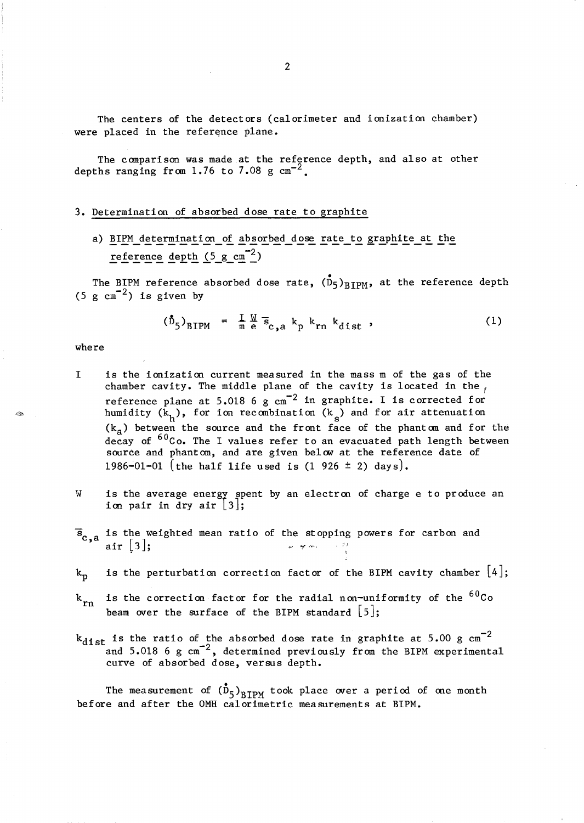The centers of the detectors (calorimeter and ionization chamber) were placed in the reference plane.

The comparison was made at the reference depth, and also at other depths ranging from 1.76 to 7.08 g  $cm^{-2}$ .

#### 3. Determination of absorbed dose rate to graphite

a) BIPM determination of absorbed dose rate to graphite at the reference depth (5  $g cm^{-2}$ )

The BIPM reference absorbed dose rate,  $(D_5)_{RTPM}$ , at the reference depth (5 g  $\text{cm}^{-2}$ ) is given by

$$
(\mathbf{\hat{D}}_5)_{\text{BIPM}} = \frac{\mathbf{I} \mathbf{W}}{\mathbf{m} e} \mathbf{\bar{s}}_{\text{c,a}} k_p k_{\text{rn}} k_{\text{dist}} , \qquad (1)
$$

where

- I is the ionization current measured in the mass m of the gas of the chamber cavity. The middle plane of the cavity is located in the  $\sqrt{ }$ reference plane at  $5.018$  6 g  $cm^{-2}$  in graphite. I is corrected for humidity  $(k_h)$ , for ion recombination  $(k_s)$  and for air attenuation  $(k_a)$  between the source and the front face of the phantom and for the decay of <sup>60</sup>Co. The I values refer to an evacuated path length between source and phantom, and are given below at the reference date of 1986-01-01 (the half life used is  $(1\ 926 \pm 2)$  days).
- w is the average energy spent by an electron of charge e to produce an ion pair in dry air  $\lfloor 3 \rfloor$ ;
- $\overline{s}_{c,a}$  is the weighted mean ratio of the stopping powers for carbon and al"r (3]," ,., *1Jt,I'* ,-"., ;';
- is the perturbation correction factor of the BIPM cavity chamber  $[4]$ ;  $k_{\rm p}$
- is the correction factor for the radial non-uniformity of the  ${}^{60}$ Co  $k_{rn}$ beam over the surface of the BIPM standard  $\lceil 5 \rceil$ ;
- $k_{dist}$  is the ratio of the absorbed dose rate in graphite at 5.00 g cm<sup>-2</sup> and  $5.018$  6 g  $\text{cm}^{-2}$ , determined previously from the BIPM experimental curve of absorbed dose, versus depth.

The measurement of  $(\overline{D}_5)_{\text{RTPM}}$  took place over a period of one month before and after the OMH calorimetric measurements at BIPM.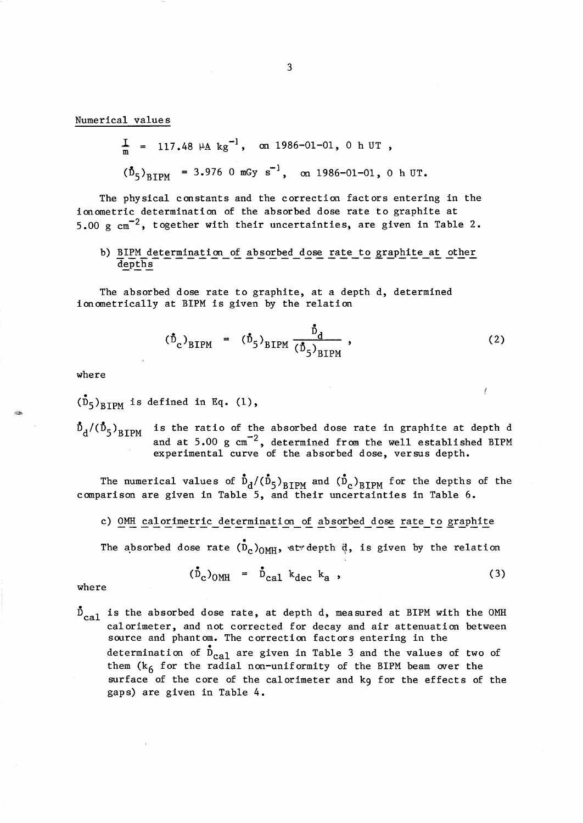Numerical values

$$
\frac{I}{m} = 117.48 \mu A kg^{-1}, \text{ on } 1986-01-01, 0 h UT,
$$
  

$$
(\mathring{D}_5)_{BTPM} = 3.976 \text{ 0 mGy s}^{-1}, \text{ on } 1986-01-01, 0 h UT.
$$

The physical constants and the correction factors entering in the ionometric determination of the absorbed dose rate to graphite at 5.00 g  $\text{cm}^{-2}$ , together with their uncertainties, are given in Table 2.

# b) BIPM determination of absorbed dose rate to graphite at other depths

The absorbed dose rate to graphite, at a depth d, determined ionometrically at BIPM is given by the relation

$$
(\dot{\tilde{D}}_{c})_{BIPM} = (\dot{\tilde{D}}_{5})_{BIPM} \frac{\dot{\tilde{D}}_{d}}{(\dot{\tilde{D}}_{5})_{BIPM}},
$$
 (2)

where

 $(D_5)$ <sub>RIPM</sub> is defined in Eq. (1),

 $\bar{\text{D}}_{\text{d}}/(\bar{\text{D}}_{\text{5}})_{\text{RTPM}}$ 

is the ratio of the absorbed dose rate in graphite at depth d and at  $5.00 \text{ g cm}^{-2}$ , determined from the well established BIPM experimental curve of the absorbed dose, versus depth.

The numerical values of  $\tilde{D}_d/(\tilde{D}_5)_{\text{RTPM}}$  and  $(\tilde{D}_c)_{\text{RTPM}}$  for the depths of the comparison are given in Table 5, and their uncertainties in Table 6.

c) OMH calorimetric determination of absorbed dose rate to graphite

The absorbed dose rate  $(\bar{D}_c)_{\text{OMH}}$ , at depth  $\ddot{q}$ , is given by the relation

$$
(\dot{\bar{D}}_c)_{\text{OMH}} = \dot{\bar{D}}_{\text{cal}} k_{\text{dec}} k_{\text{a}} , \qquad (3)
$$

where

 $\bar{D}_{\text{cal}}$  is the absorbed dose rate, at depth d, measured at BIPM with the OMH calorimeter, and not corrected for decay and air attenuation between source and phantom. The correction factors entering in the determination of  $\overline{D}_{\text{cal}}$  are given in Table 3 and the values of two of them  $(k<sub>6</sub>$  for the radial non-uniformity of the BIPM beam over the surface of the core of the calorimeter and kg for the effects of the gaps) are given in Table 4.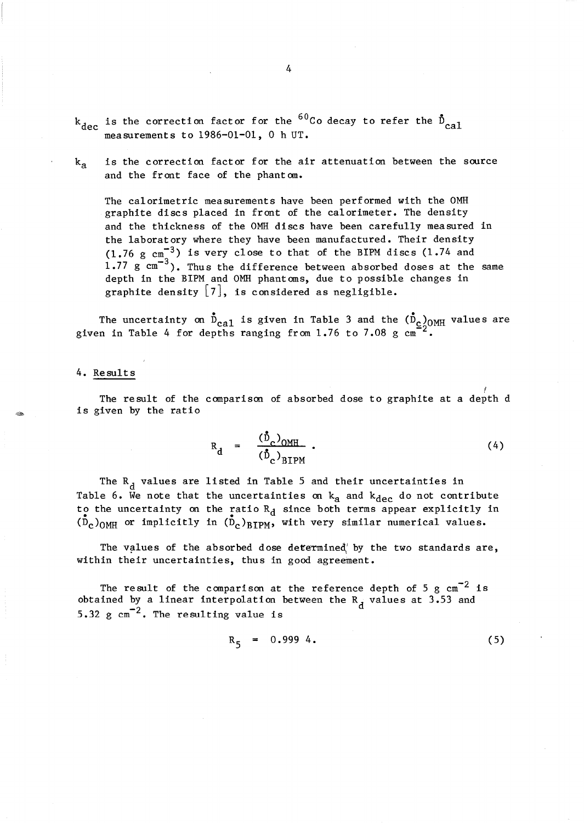- $k_{dec}$  is the correction factor for the <sup>60</sup>Co decay to refer the  $\bar{D}_{c,a}$ <sub>1</sub> measurements to  $1986-01-01$ , 0 h UT.
- $k_a$  is the correction factor for the air attenuation between the source and the front face of the phant om.

The calorimetric measurements have been performed with the OMH graphite discs placed in front of the calorimeter. The density and the thickness of the OMH discs have been carefully measured in the laboratory where they have been manufactured. Their density  $(1.76 \text{ g cm}^{-3})$  is very close to that of the BIPM discs  $(1.74 \text{ and }$ 1.77 g  $\text{cm}^{-3}$ ). Thus the difference between absorbed doses at the same depth in the BIPM and OMH phantoms, due to possible changes in graphite density  $\lfloor 7 \rfloor$ , is considered as negligible.

The uncertainty on  $\mathring{\text{D}}_{\text{cal}}$  is given in Table 3 and the  $(\mathring{\text{D}}_{\text{c}})_{\text{OMH}}$  values are given in Table 4 for depths ranging from 1.76 to 7.08 g  $\text{cm}^{-2}$ .

#### 4. Result s

f The result of the comparison of absorbed dose to graphite at a depth d is given by the ratio

$$
R_{d} = \frac{(\vec{D}_{c})_{OMH}}{(\vec{D}_{c})_{BIPM}} \tag{4}
$$

The  $R_d$  values are listed in Table 5 and their uncertainties in Table 6. We note that the uncertainties on  $k_{\text{a}}$  and  $k_{\text{dec}}$  do not contribute to the uncertainty on the ratio  $R_d$  since both terms appear explicitly in  $(\bar{D}_c)_{\text{OMH}}$  or implicitly in  $(\bar{D}_c)_{\text{BIPM}}$ , with very similar numerical values.

The values of the absorbed dose determined' by the two standards are, within their uncertainties, thus in good agreement.

The result of the comparison at the reference depth of 5 g  $cm^{-2}$  is obtained by a linear interpolation between the  $R_d$  values at 3.53 and 5.32  $\text{g cm}^{-2}$ . The resulting value is

$$
R_5 = 0.999 4. \t\t(5)
$$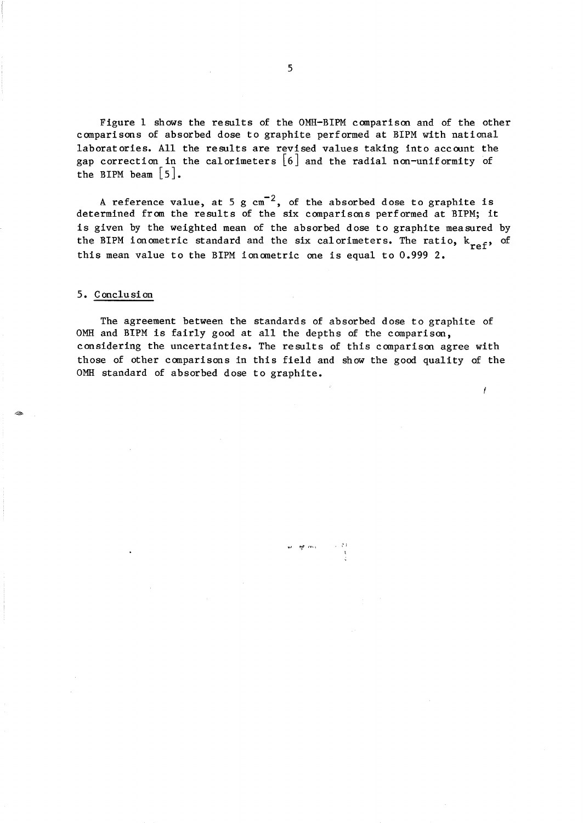Figure 1 shows the results of the OMH-BIPM comparison and of the other comparisons of absorbed dose to graphite performed at BIPM with national laboratories. All the results are revised values taking into account the gap correction in the calorimeters [6] and the radial non-uniformity of the BIPM beam  $|5|$ .

A reference value, at 5 g  $\mathrm{cm}^{-2}$ , of the absorbed dose to graphite is determined from the results of the six comparisons performed at BIPM; it is given by the weighted mean of the absorbed dose to graphite measured by the BIPM ionometric standard and the six calorimeters. The ratio,  $k_{ref}$ , of this mean value to the BIPM ionometric one is equal to 0.999 2.

## 5. Conclusion

The agreement between the standards of absorbed dose to graphite of OMH and BIPM is fairly good at all the depths of the comparison, considering the uncertainties. The results of this comparison agree with those of other comparisons in this field and show the good quality of the OMH standard of absorbed dose to graphite.

I

~I **I'll'** ,or· \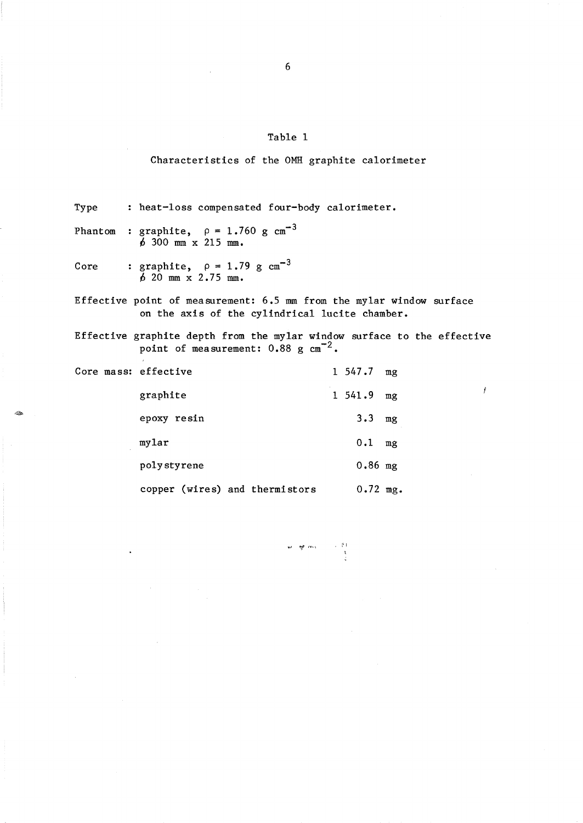Characteristics of the OMH graphite calorimeter

Type heat-loss compensated four-body calorimeter.

Phantom graphite,  $\rho = 1.760 \text{ g cm}^{-3}$  $6\,300\,$  mm  $\,x\,215\,$  mm.

Core : graphite,  $\rho = 1.79 \text{ g cm}^{-3}$  $620$  mm  $x 2.75$  mm.

-

Effective point of measurement: 6.5 mm from the my1ar window surface on the axis of the cylindrical 1ucite chamber.

Effective graphite depth from the my1ar window surface to the effective point of measurement:  $0.88$  g  $cm^{-2}$ .

| Core mass: effective           | 1 547.7 mg   |    |
|--------------------------------|--------------|----|
| graphite                       | $1\;\;541.9$ | mg |
| epoxy resin                    | 3.3          | mg |
| mylar                          | 0.1          | mg |
| polystyrene                    | $0.86$ mg    |    |
| copper (wires) and thermistors | $0.72$ mg.   |    |

ez aprimas

Ĭ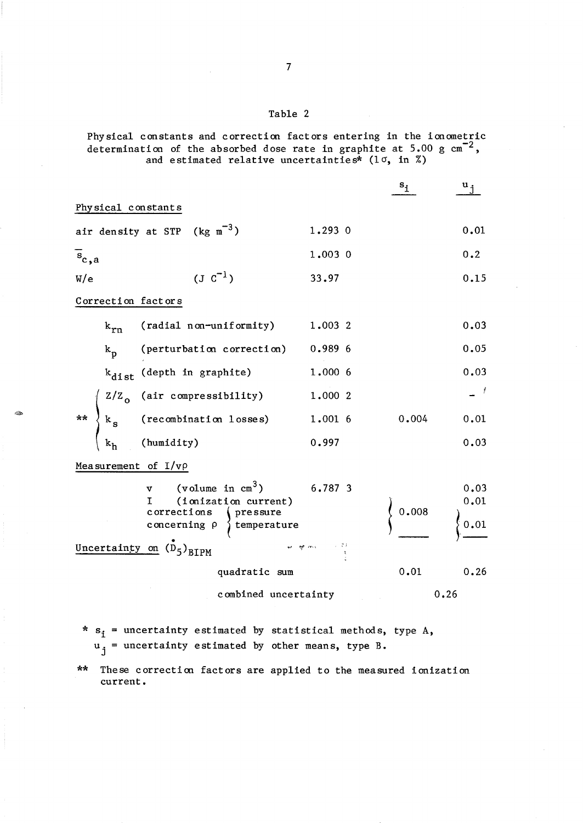Physical constants and correction factors entering in the ionometric determination of the absorbed dose rate in graphite at  $5.00 \text{ g cm}^{-2}$ , and estimated relative uncertainties\* ( $1\sigma$ , in %)

|                                                                                                                                                                                        |         | $s_{\underline{i}}$ | $u_i$                          |
|----------------------------------------------------------------------------------------------------------------------------------------------------------------------------------------|---------|---------------------|--------------------------------|
| Physical constants                                                                                                                                                                     |         |                     |                                |
| air density at STP ( $kg \text{ m}^{-3}$ )                                                                                                                                             | 1.2930  |                     | 0.01                           |
| $s_{c,a}$                                                                                                                                                                              | 1.003 0 |                     | 0.2                            |
| $(J \, c^{-1})$<br>W/e                                                                                                                                                                 | 33.97   |                     | 0.15                           |
| Correction factors                                                                                                                                                                     |         |                     |                                |
| $k_{rn}$ (radial non-uniformity)                                                                                                                                                       | 1.003 2 |                     | 0.03                           |
| (perturbation correction) 0.989 6<br>$k_{\rm p}$                                                                                                                                       |         |                     | 0.05                           |
| $k_{dist}$ (depth in graphite)                                                                                                                                                         | 1.000 6 |                     | 0.03                           |
|                                                                                                                                                                                        |         |                     |                                |
|                                                                                                                                                                                        |         | 0.004               | 0.01                           |
|                                                                                                                                                                                        |         |                     | 0.03                           |
| Measurement of $I/\nu\rho$                                                                                                                                                             |         |                     |                                |
| v (volume in $cm^3$ ) 6.787 3<br>(ionization current)<br>T.<br>$c$ or $r$ ections<br>pressure<br>concerning $\rho$ { temperature<br>on $(\vec{D}_5)_{RTPM}$ $\gamma$ $\gamma$ $\gamma$ |         | 0.008               | 0.03<br>$\Big\}^{0.01}_{0.01}$ |
| Uncertainty on $(D_5)_{\text{BIPM}}$                                                                                                                                                   |         |                     |                                |
| quadratic sum                                                                                                                                                                          | 0.01    | 0.26                |                                |
| combined uncertainty                                                                                                                                                                   | 0.26    |                     |                                |

- \*  $s_i$  = uncertainty estimated by statistical methods, type A,  $u_j$  = uncertainty estimated by other means, type B.
- \*\* These correction factors are applied to the measured ionization current.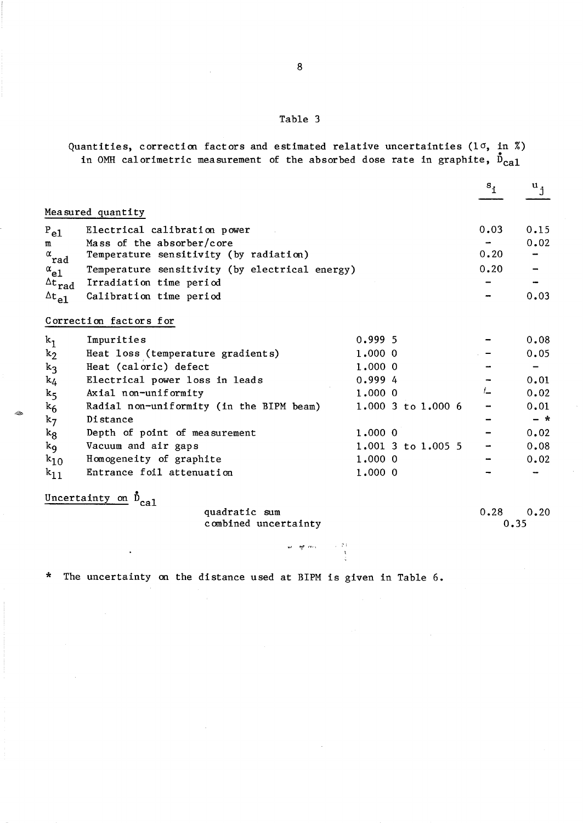8

Quantities, correction factors and estimated relative uncertainties (10, in %) in OMH calorimetric measurement of the absorbed dose rate in graphite,  $\bar{D}_{c\alpha1}$ 

|                                    |                                                |                        | $\mathbf{s}_1$ | $\mathbf{u}_{1}$             |
|------------------------------------|------------------------------------------------|------------------------|----------------|------------------------------|
|                                    | Measured quantity                              |                        |                |                              |
| $P_{e1}$                           | Electrical calibration power                   |                        | 0.03           | 0.15                         |
| $\mathbf{m}$                       | Mass of the absorber/core                      |                        |                | 0.02                         |
| $\stackrel{\alpha}{\mathbf{r}}$ ad | Temperature sensitivity (by radiation)         |                        | 0.20           |                              |
| $\alpha_{e1}$                      | Temperature sensitivity (by electrical energy) |                        | 0.20           |                              |
| $\Delta t$ rad                     | Irradiation time period                        |                        |                |                              |
| $^{\Delta}$ t $_{\rm e1}$          | Calibration time period                        |                        |                | 0.03                         |
|                                    | Correction factors for                         |                        |                |                              |
| $k_1$                              | Impurities                                     | 0.9995                 |                | 0.08                         |
| $k_2$                              | Heat loss (temperature gradients)              | 1.000 0                |                | 0.05                         |
| $k_3$                              | Heat (caloric) defect                          | 1.0000                 |                | $\qquad \qquad \blacksquare$ |
| $k_4$                              | Electrical power loss in leads                 | 0.9994                 |                | 0.01                         |
| k <sub>5</sub>                     | Axial non-uniformity                           | 1.0000                 | L              | 0.02                         |
| $k_6$                              | Radial non-uniformity (in the BIPM beam)       | 1.000 3 to 1.000 6     |                | 0.01                         |
| $k_7$                              | Distance                                       |                        |                | $-$ *                        |
| $k_{8}$                            | Depth of point of measurement                  | $1,000$ 0              |                | 0.02                         |
| $k_{\mathbf{Q}}$                   | Vacuum and air gaps                            | $1.001$ 3 to $1.005$ 5 |                | 0.08                         |
| $k_{10}$                           | Homogeneity of graphite                        | 1.0000                 |                | 0.02                         |
| $k_{11}$                           | Entrance foil attenuation                      | 1.0000                 |                |                              |
|                                    | Uncertainty on $\tilde{D}_{ca1}$               |                        |                |                              |

quadratic sum combined uncertainty

~./ *IJI,.I'* ,-,.,

0.28 0.20 0.35

\* The uncertainty on the distance used at BIPM is given in Table 6.

 $\bar{\star}$ 

~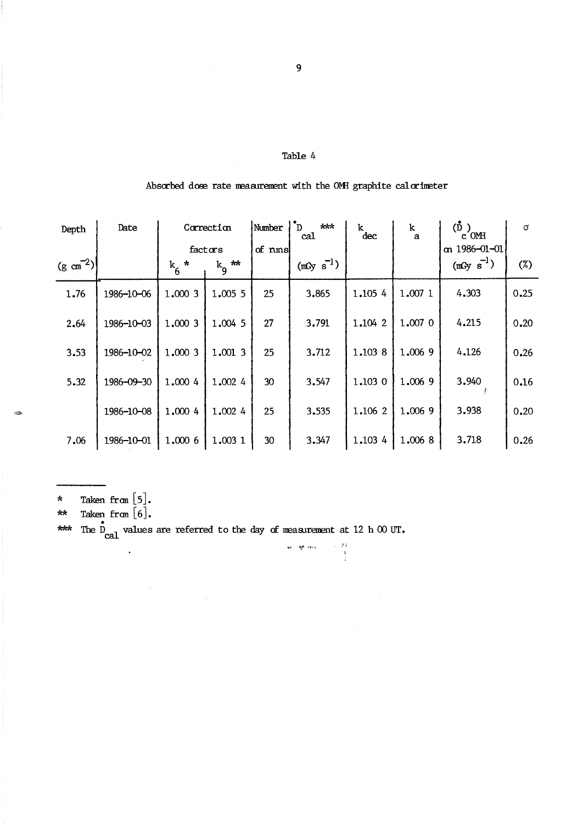# Absorbed dose rate measurement with the OMH graphite calorimeter

| Depth                 | Date       | Correction       |                | Number<br>$***$<br>ֿ ה<br>cal |             | k.<br>dec | k<br>$\mathbf{a}$ | $(\mathbf{D})$<br>$c$ OMH | $\sigma$ |
|-----------------------|------------|------------------|----------------|-------------------------------|-------------|-----------|-------------------|---------------------------|----------|
|                       |            | factors          |                | of runs                       |             |           |                   | $\alpha$ 1986-01-01       |          |
| $(g \text{ cm}^{-2})$ |            | $\star$<br>$k_6$ | $k_{\rm g}$ ** |                               | $(mGy s-1)$ |           |                   | $(mGy s-1)$               | $(\%)$   |
| 1.76                  | 1986-10-06 | 1.000 3          | 1.005 5        | 25                            | 3.865       | 1.105 4   | 1.007 1           | 4.303                     | 0.25     |
| 2.64                  | 1986-10-03 | 1.0003           | 1.004 5        | 27                            | 3.791       | 1.104 2   | 1.007 0           | 4.215                     | 0.20     |
| 3.53                  | 1986-10-02 | 1,000 3          | 1.001 3        | 25                            | 3.712       | 1.103 8   | 1.006 9           | 4.126                     | 0.26     |
| 5.32                  | 1986-09-30 | 1,000 4          | 1,002 4        | 30                            | 3.547       | 1.1030    | 1,006 9           | 3.940                     | 0.16     |
|                       | 1986-10-08 | 1,000 4          | 1.002 4        | 25                            | 3.535       | 1.106 2   | 1,006 9           | 3.938                     | 0.20     |
| 7.06                  | 1986-10-01 | 1.000 6          | 1.003 1        | 30                            | 3.347       | 1.103 4   | 1.006 8           | 3.718                     | 0.26     |

**-., "1,"** ,-f\_"

Taken fran [5]. \*<br>..

 $\otimes$ 

Taken fran [6].  $\overline{xx}$ 

•<br>n \*\*\* The  $D_{\text{cal}}$  values are referred to the day of measurement at 12 h 00 UT.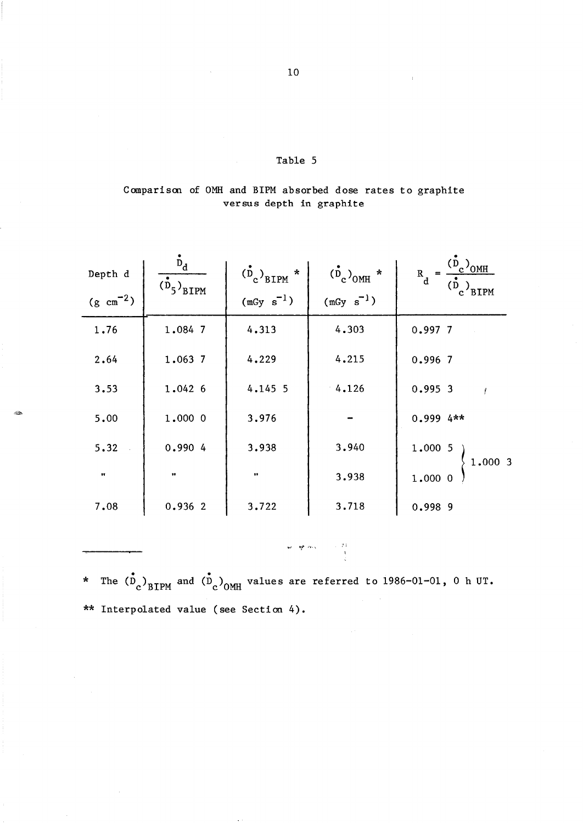# Comparison of OMH and BIPM absorbed dose rates to graphite versus depth in graphite

| Depth d<br>$(g \text{ cm}^{-2})$ | $\frac{d}{d}$<br>$\overline{(\overset{\bullet}{D}_5)}_{\text{BIPM}}$ | $\left(\frac{b}{c}\right)$ <sub>BIPM</sub> *<br>$(mGy s-1)$ | $\frac{(\dot{D}_c)_{0MH}}{(\text{mGy s}^{-1})}$ | $R_d = \frac{(D_c)_{\text{OMH}}}{(\stackrel{\rightarrow}{D}_c)_{\text{BIPM}}}$ |
|----------------------------------|----------------------------------------------------------------------|-------------------------------------------------------------|-------------------------------------------------|--------------------------------------------------------------------------------|
| 1.76                             | 1.084 7                                                              | 4.313                                                       | 4.303                                           | 0.9977                                                                         |
| 2.64                             | 1.063 7                                                              | 4.229                                                       | 4.215                                           | 0.996 7                                                                        |
| 3.53                             | 1.042 6                                                              | 4.145 5                                                     | 4.126                                           | 0.9953                                                                         |
| 5.00                             | 1.000 0                                                              | 3.976                                                       |                                                 | $0.9994**$                                                                     |
| 5.32                             | 0.990 4                                                              | 3.938                                                       | 3.940                                           | $1.000\,5$                                                                     |
| $\pmb{\pi}$                      | $\bullet$                                                            | $\pmb{\cdots}$                                              | 3.938                                           | 1.0003<br>1.000 0                                                              |
| 7.08                             | 0.9362                                                               | 3.722                                                       | 3.718                                           | 0.998 9                                                                        |

~2>

: الأكبر المعروف المعروف المعروف المعروف المعروف المعروف المعروف المعروف المعروف المعروف المعروف الم<br>المعروف المعروف المعروف المعروف المعروف المعروف المعروف المعروف المعروف المعروف المعروف المعروف المعروف المعرو<br>المعروف ا

\* The  $\langle D_c \rangle_{\text{BIPM}}$  and  $\langle D_c \rangle_{\text{OMH}}$  values are referred to 1986-01-01, 0 h UT. \*\* Interpolated value (see Section 4).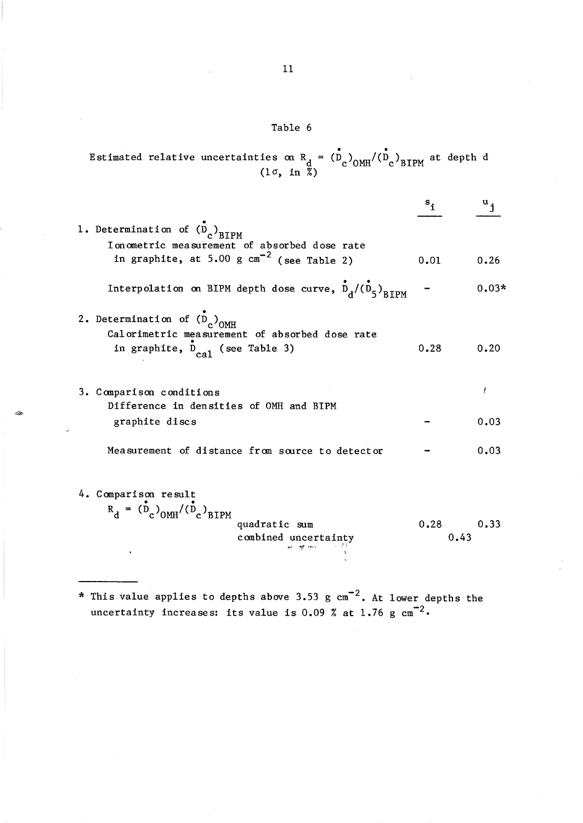Estimated relative uncertainties on  $R_{d} = (\dot{D}_{c})_{OMH}/(\dot{D}_{c})$  $(1\sigma, in \bar{\mathbb{Z}})$  $(D_c)_{\text{OMH}} / (D_c)_{\text{BIPM}}$  at depth d

|                                                                                                        | $s_i$                                                                                                                                                                             | $\mathbf{u}_{\mathbf{i}}$ |
|--------------------------------------------------------------------------------------------------------|-----------------------------------------------------------------------------------------------------------------------------------------------------------------------------------|---------------------------|
| 1. Determination of $(D_c)_{BTPM}$                                                                     |                                                                                                                                                                                   |                           |
| in graphite, at 5.00 g $cm^{-2}$ (see Table 2)                                                         | 0.01                                                                                                                                                                              | 0.26                      |
| Interpolation on BIPM depth dose curve, $\stackrel{\bullet}{D}_{d}/(\stackrel{\bullet}{D}_{5})_{RTPM}$ |                                                                                                                                                                                   | $0.03*$                   |
| 2. Determination of $(D_c)_{OMH}$                                                                      |                                                                                                                                                                                   |                           |
| in graphite, D <sub>cal</sub> (see Table 3)                                                            | 0.28                                                                                                                                                                              | 0.20                      |
| 3. Comparison conditions                                                                               |                                                                                                                                                                                   | ł                         |
| graphite discs                                                                                         |                                                                                                                                                                                   | 0.03                      |
| Measurement of distance from source to detector                                                        |                                                                                                                                                                                   | 0.03                      |
| 4. Comparison result                                                                                   |                                                                                                                                                                                   |                           |
| quadratic sum<br>combined uncertainty                                                                  | 0.28                                                                                                                                                                              | 0.33                      |
|                                                                                                        | I on ometric measurement of absorbed dose rate<br>Calorimetric measurement of absorbed dose rate<br>Difference in densities of OMH and BIPM<br>$R_A = (D_c)_{OMH} / (D_c)_{BIPM}$ | 0.43                      |

\* This value applies to depths above 3.53 g  $\text{cm}^{-2}$ . At lower depths the uncertainty increases: its value is 0.09 % at 1.76  $\rm g\ cm^{-2}$ .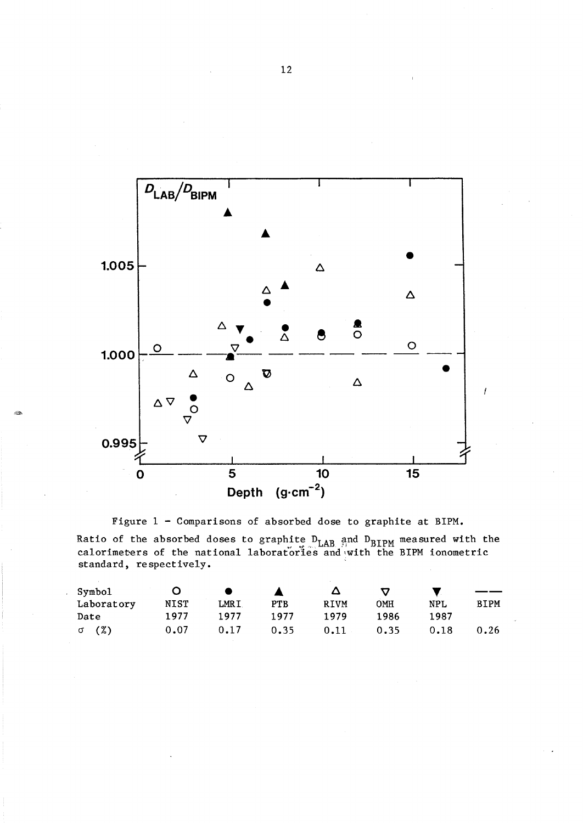

Figure 1 - Comparisons of absorbed dose to graphite at BIPM.

Ratio of the absorbed doses to graphite  $D_{\text{LAB}}$  and  $D_{\text{BIPM}}$  measured with the calorimeters of the national laboratories and with the BIPM ionometric standard, respectively.

| Symbol     |             |             |            |      |      |      |      |
|------------|-------------|-------------|------------|------|------|------|------|
| Laboratory | <b>NIST</b> | <b>LMRI</b> | <b>PTB</b> | RIVM | OMH  | NPL  | BIPM |
| Date       | 1977        | 1977        | 1977       | 1979 | 1986 | 1987 |      |
| (%)<br>σ   | 0.07        | 0.17        | 0.35       | 0.11 | 0.35 | 0.18 | 0.26 |